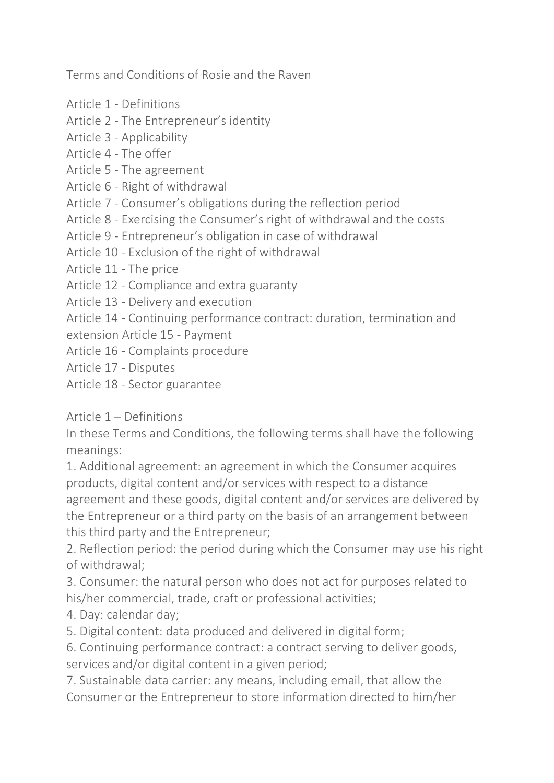Terms and Conditions of Rosie and the Raven

- Article 1 Definitions
- Article 2 The Entrepreneur's identity
- Article 3 Applicability
- Article 4 The offer
- Article 5 The agreement
- Article 6 Right of withdrawal
- Article 7 Consumer's obligations during the reflection period
- Article 8 Exercising the Consumer's right of withdrawal and the costs
- Article 9 Entrepreneur's obligation in case of withdrawal
- Article 10 Exclusion of the right of withdrawal
- Article 11 The price
- Article 12 Compliance and extra guaranty
- Article 13 Delivery and execution

Article 14 - Continuing performance contract: duration, termination and extension Article 15 - Payment

- Article 16 Complaints procedure
- Article 17 Disputes
- Article 18 Sector guarantee

Article 1 – Definitions

In these Terms and Conditions, the following terms shall have the following meanings:

1. Additional agreement: an agreement in which the Consumer acquires products, digital content and/or services with respect to a distance agreement and these goods, digital content and/or services are delivered by the Entrepreneur or a third party on the basis of an arrangement between this third party and the Entrepreneur;

2. Reflection period: the period during which the Consumer may use his right of withdrawal;

3. Consumer: the natural person who does not act for purposes related to his/her commercial, trade, craft or professional activities;

4. Day: calendar day;

5. Digital content: data produced and delivered in digital form;

6. Continuing performance contract: a contract serving to deliver goods, services and/or digital content in a given period;

7. Sustainable data carrier: any means, including email, that allow the Consumer or the Entrepreneur to store information directed to him/her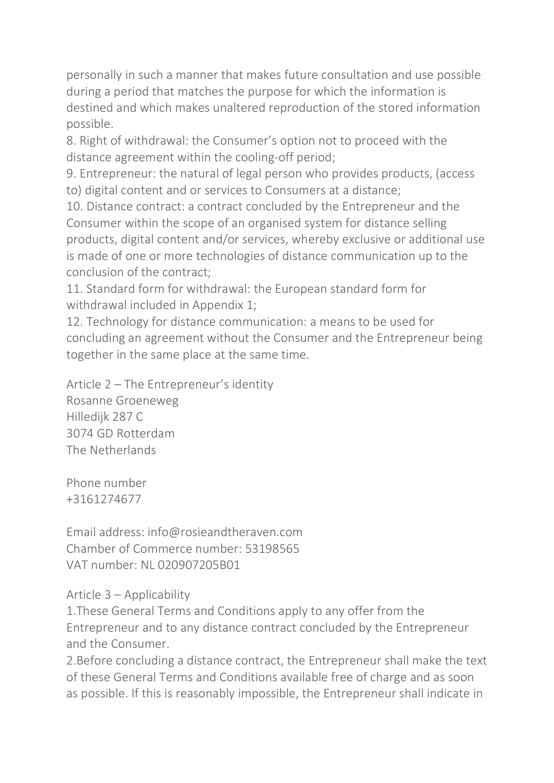personally in such a manner that makes future consultation and use possible during a period that matches the purpose for which the information is destined and which makes unaltered reproduction of the stored information possible.

8. Right of withdrawal: the Consumer's option not to proceed with the distance agreement within the cooling-off period;

9. Entrepreneur: the natural of legal person who provides products, (access to) digital content and or services to Consumers at a distance;

10. Distance contract: a contract concluded by the Entrepreneur and the Consumer within the scope of an organised system for distance selling products, digital content and/or services, whereby exclusive or additional use is made of one or more technologies of distance communication up to the conclusion of the contract;

11. Standard form for withdrawal: the European standard form for withdrawal included in Appendix 1;

12. Technology for distance communication: a means to be used for concluding an agreement without the Consumer and the Entrepreneur being together in the same place at the same time.

Article 2 – The Entrepreneur's identity Rosanne Groeneweg Hilledijk 287 C 3074 GD Rotterdam The Netherlands

Phone number +3161274677

Email address: info@rosieandtheraven.com Chamber of Commerce number: 53198565 VAT number: NL 020907205B01

## Article 3 – Applicability

1.These General Terms and Conditions apply to any offer from the Entrepreneur and to any distance contract concluded by the Entrepreneur and the Consumer.

2.Before concluding a distance contract, the Entrepreneur shall make the text of these General Terms and Conditions available free of charge and as soon as possible. If this is reasonably impossible, the Entrepreneur shall indicate in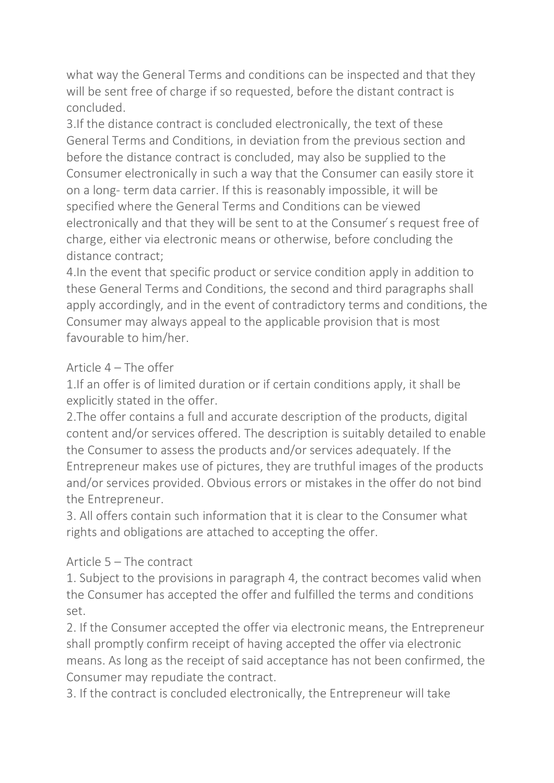what way the General Terms and conditions can be inspected and that they will be sent free of charge if so requested, before the distant contract is concluded.

3.If the distance contract is concluded electronically, the text of these General Terms and Conditions, in deviation from the previous section and before the distance contract is concluded, may also be supplied to the Consumer electronically in such a way that the Consumer can easily store it on a long- term data carrier. If this is reasonably impossible, it will be specified where the General Terms and Conditions can be viewed electronically and that they will be sent to at the Consumer's request free of charge, either via electronic means or otherwise, before concluding the distance contract;

4.In the event that specific product or service condition apply in addition to these General Terms and Conditions, the second and third paragraphs shall apply accordingly, and in the event of contradictory terms and conditions, the Consumer may always appeal to the applicable provision that is most favourable to him/her.

## Article 4 – The offer

1.If an offer is of limited duration or if certain conditions apply, it shall be explicitly stated in the offer.

2.The offer contains a full and accurate description of the products, digital content and/or services offered. The description is suitably detailed to enable the Consumer to assess the products and/or services adequately. If the Entrepreneur makes use of pictures, they are truthful images of the products and/or services provided. Obvious errors or mistakes in the offer do not bind the Entrepreneur.

3. All offers contain such information that it is clear to the Consumer what rights and obligations are attached to accepting the offer.

## Article 5 – The contract

1. Subject to the provisions in paragraph 4, the contract becomes valid when the Consumer has accepted the offer and fulfilled the terms and conditions set.

2. If the Consumer accepted the offer via electronic means, the Entrepreneur shall promptly confirm receipt of having accepted the offer via electronic means. As long as the receipt of said acceptance has not been confirmed, the Consumer may repudiate the contract.

3. If the contract is concluded electronically, the Entrepreneur will take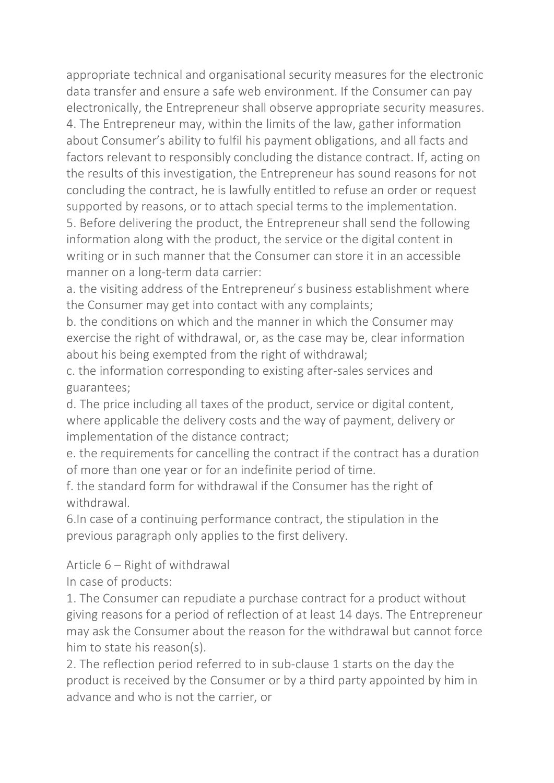appropriate technical and organisational security measures for the electronic data transfer and ensure a safe web environment. If the Consumer can pay electronically, the Entrepreneur shall observe appropriate security measures. 4. The Entrepreneur may, within the limits of the law, gather information about Consumer's ability to fulfil his payment obligations, and all facts and factors relevant to responsibly concluding the distance contract. If, acting on the results of this investigation, the Entrepreneur has sound reasons for not concluding the contract, he is lawfully entitled to refuse an order or request supported by reasons, or to attach special terms to the implementation. 5. Before delivering the product, the Entrepreneur shall send the following

information along with the product, the service or the digital content in writing or in such manner that the Consumer can store it in an accessible manner on a long-term data carrier:

a. the visiting address of the Entrepreneur's business establishment where the Consumer may get into contact with any complaints;

b. the conditions on which and the manner in which the Consumer may exercise the right of withdrawal, or, as the case may be, clear information about his being exempted from the right of withdrawal;

c. the information corresponding to existing after-sales services and guarantees;

d. The price including all taxes of the product, service or digital content, where applicable the delivery costs and the way of payment, delivery or implementation of the distance contract;

e. the requirements for cancelling the contract if the contract has a duration of more than one year or for an indefinite period of time.

f. the standard form for withdrawal if the Consumer has the right of withdrawal.

6.In case of a continuing performance contract, the stipulation in the previous paragraph only applies to the first delivery.

Article 6 – Right of withdrawal

In case of products:

1. The Consumer can repudiate a purchase contract for a product without giving reasons for a period of reflection of at least 14 days. The Entrepreneur may ask the Consumer about the reason for the withdrawal but cannot force him to state his reason(s).

2. The reflection period referred to in sub-clause 1 starts on the day the product is received by the Consumer or by a third party appointed by him in advance and who is not the carrier, or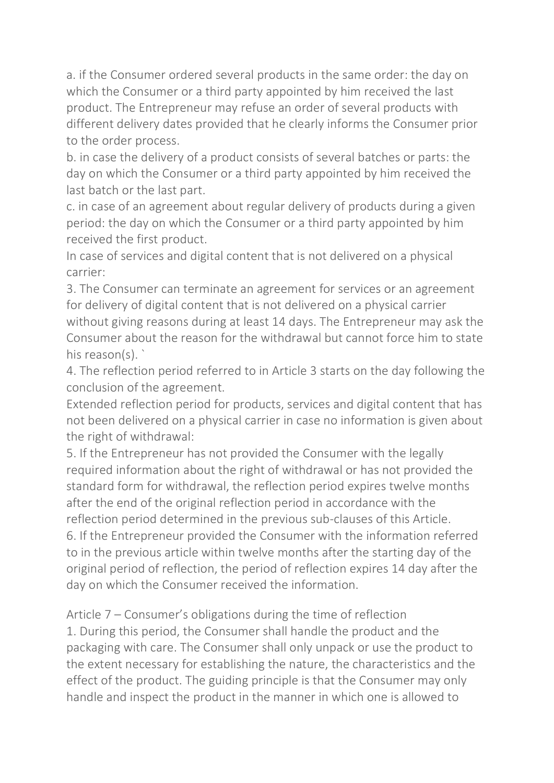a. if the Consumer ordered several products in the same order: the day on which the Consumer or a third party appointed by him received the last product. The Entrepreneur may refuse an order of several products with different delivery dates provided that he clearly informs the Consumer prior to the order process.

b. in case the delivery of a product consists of several batches or parts: the day on which the Consumer or a third party appointed by him received the last batch or the last part.

c. in case of an agreement about regular delivery of products during a given period: the day on which the Consumer or a third party appointed by him received the first product.

In case of services and digital content that is not delivered on a physical carrier:

3. The Consumer can terminate an agreement for services or an agreement for delivery of digital content that is not delivered on a physical carrier without giving reasons during at least 14 days. The Entrepreneur may ask the Consumer about the reason for the withdrawal but cannot force him to state his reason(s).

4. The reflection period referred to in Article 3 starts on the day following the conclusion of the agreement.

Extended reflection period for products, services and digital content that has not been delivered on a physical carrier in case no information is given about the right of withdrawal:

5. If the Entrepreneur has not provided the Consumer with the legally required information about the right of withdrawal or has not provided the standard form for withdrawal, the reflection period expires twelve months after the end of the original reflection period in accordance with the reflection period determined in the previous sub-clauses of this Article. 6. If the Entrepreneur provided the Consumer with the information referred to in the previous article within twelve months after the starting day of the original period of reflection, the period of reflection expires 14 day after the day on which the Consumer received the information.

Article 7 – Consumer's obligations during the time of reflection 1. During this period, the Consumer shall handle the product and the packaging with care. The Consumer shall only unpack or use the product to the extent necessary for establishing the nature, the characteristics and the effect of the product. The guiding principle is that the Consumer may only handle and inspect the product in the manner in which one is allowed to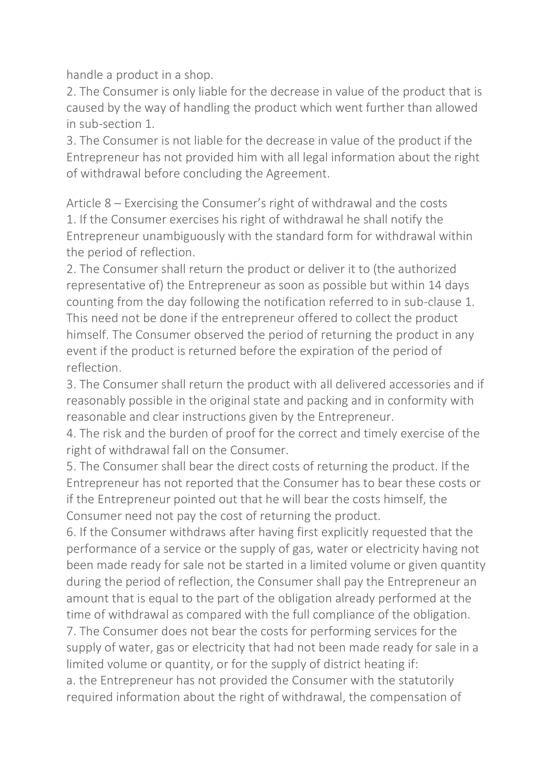handle a product in a shop.

2. The Consumer is only liable for the decrease in value of the product that is caused by the way of handling the product which went further than allowed in sub-section 1.

3. The Consumer is not liable for the decrease in value of the product if the Entrepreneur has not provided him with all legal information about the right of withdrawal before concluding the Agreement.

Article 8 – Exercising the Consumer's right of withdrawal and the costs 1. If the Consumer exercises his right of withdrawal he shall notify the Entrepreneur unambiguously with the standard form for withdrawal within the period of reflection.

2. The Consumer shall return the product or deliver it to (the authorized representative of) the Entrepreneur as soon as possible but within 14 days counting from the day following the notification referred to in sub-clause 1. This need not be done if the entrepreneur offered to collect the product himself. The Consumer observed the period of returning the product in any event if the product is returned before the expiration of the period of reflection.

3. The Consumer shall return the product with all delivered accessories and if reasonably possible in the original state and packing and in conformity with reasonable and clear instructions given by the Entrepreneur.

4. The risk and the burden of proof for the correct and timely exercise of the right of withdrawal fall on the Consumer.

5. The Consumer shall bear the direct costs of returning the product. If the Entrepreneur has not reported that the Consumer has to bear these costs or if the Entrepreneur pointed out that he will bear the costs himself, the Consumer need not pay the cost of returning the product.

6. If the Consumer withdraws after having first explicitly requested that the performance of a service or the supply of gas, water or electricity having not been made ready for sale not be started in a limited volume or given quantity during the period of reflection, the Consumer shall pay the Entrepreneur an amount that is equal to the part of the obligation already performed at the time of withdrawal as compared with the full compliance of the obligation. 7. The Consumer does not bear the costs for performing services for the

supply of water, gas or electricity that had not been made ready for sale in a limited volume or quantity, or for the supply of district heating if:

a. the Entrepreneur has not provided the Consumer with the statutorily required information about the right of withdrawal, the compensation of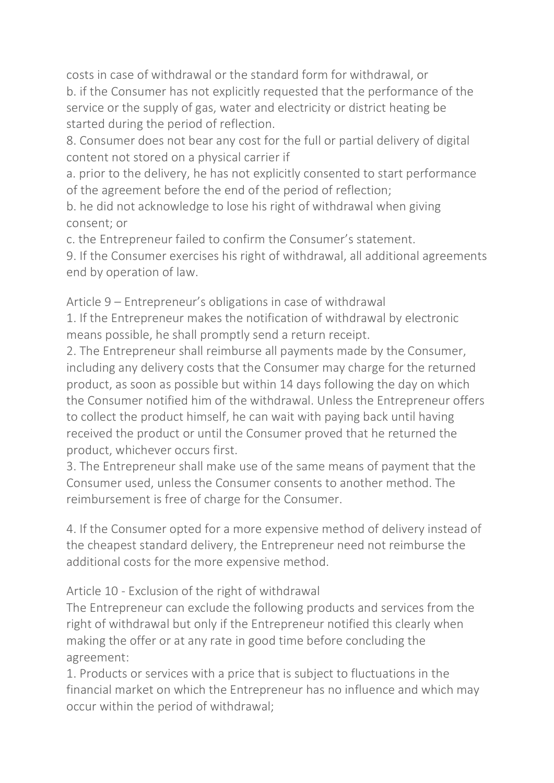costs in case of withdrawal or the standard form for withdrawal, or b. if the Consumer has not explicitly requested that the performance of the service or the supply of gas, water and electricity or district heating be started during the period of reflection.

8. Consumer does not bear any cost for the full or partial delivery of digital content not stored on a physical carrier if

a. prior to the delivery, he has not explicitly consented to start performance of the agreement before the end of the period of reflection;

b. he did not acknowledge to lose his right of withdrawal when giving consent; or

c. the Entrepreneur failed to confirm the Consumer's statement.

9. If the Consumer exercises his right of withdrawal, all additional agreements end by operation of law.

Article 9 – Entrepreneur's obligations in case of withdrawal 1. If the Entrepreneur makes the notification of withdrawal by electronic means possible, he shall promptly send a return receipt.

2. The Entrepreneur shall reimburse all payments made by the Consumer, including any delivery costs that the Consumer may charge for the returned product, as soon as possible but within 14 days following the day on which the Consumer notified him of the withdrawal. Unless the Entrepreneur offers to collect the product himself, he can wait with paying back until having received the product or until the Consumer proved that he returned the product, whichever occurs first.

3. The Entrepreneur shall make use of the same means of payment that the Consumer used, unless the Consumer consents to another method. The reimbursement is free of charge for the Consumer.

4. If the Consumer opted for a more expensive method of delivery instead of the cheapest standard delivery, the Entrepreneur need not reimburse the additional costs for the more expensive method.

Article 10 - Exclusion of the right of withdrawal

The Entrepreneur can exclude the following products and services from the right of withdrawal but only if the Entrepreneur notified this clearly when making the offer or at any rate in good time before concluding the agreement:

1. Products or services with a price that is subject to fluctuations in the financial market on which the Entrepreneur has no influence and which may occur within the period of withdrawal;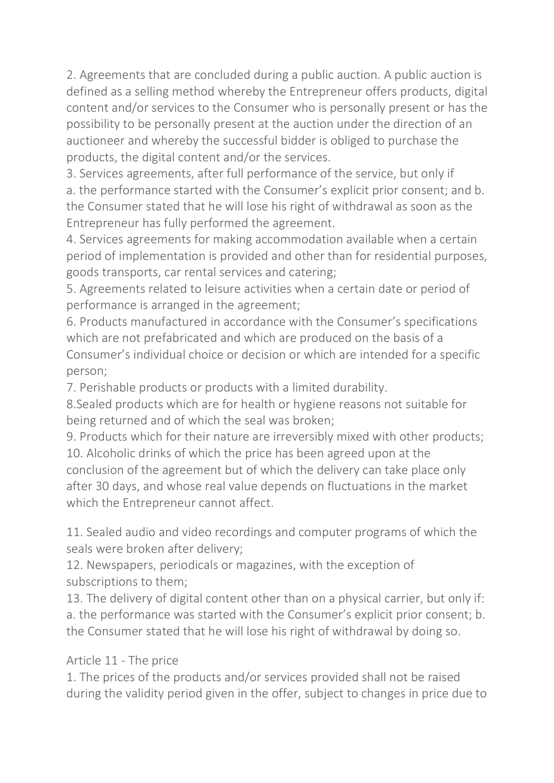2. Agreements that are concluded during a public auction. A public auction is defined as a selling method whereby the Entrepreneur offers products, digital content and/or services to the Consumer who is personally present or has the possibility to be personally present at the auction under the direction of an auctioneer and whereby the successful bidder is obliged to purchase the products, the digital content and/or the services.

3. Services agreements, after full performance of the service, but only if a. the performance started with the Consumer's explicit prior consent; and b. the Consumer stated that he will lose his right of withdrawal as soon as the Entrepreneur has fully performed the agreement.

4. Services agreements for making accommodation available when a certain period of implementation is provided and other than for residential purposes, goods transports, car rental services and catering;

5. Agreements related to leisure activities when a certain date or period of performance is arranged in the agreement;

6. Products manufactured in accordance with the Consumer's specifications which are not prefabricated and which are produced on the basis of a Consumer's individual choice or decision or which are intended for a specific person;

7. Perishable products or products with a limited durability.

8.Sealed products which are for health or hygiene reasons not suitable for being returned and of which the seal was broken;

9. Products which for their nature are irreversibly mixed with other products; 10. Alcoholic drinks of which the price has been agreed upon at the

conclusion of the agreement but of which the delivery can take place only after 30 days, and whose real value depends on fluctuations in the market which the Entrepreneur cannot affect.

11. Sealed audio and video recordings and computer programs of which the seals were broken after delivery;

12. Newspapers, periodicals or magazines, with the exception of subscriptions to them;

13. The delivery of digital content other than on a physical carrier, but only if: a. the performance was started with the Consumer's explicit prior consent; b. the Consumer stated that he will lose his right of withdrawal by doing so.

## Article 11 - The price

1. The prices of the products and/or services provided shall not be raised during the validity period given in the offer, subject to changes in price due to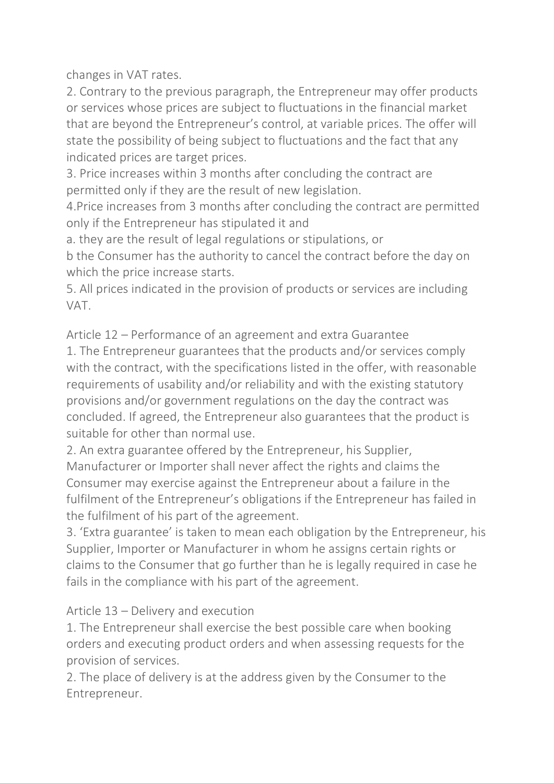changes in VAT rates.

2. Contrary to the previous paragraph, the Entrepreneur may offer products or services whose prices are subject to fluctuations in the financial market that are beyond the Entrepreneur's control, at variable prices. The offer will state the possibility of being subject to fluctuations and the fact that any indicated prices are target prices.

3. Price increases within 3 months after concluding the contract are permitted only if they are the result of new legislation.

4.Price increases from 3 months after concluding the contract are permitted only if the Entrepreneur has stipulated it and

a. they are the result of legal regulations or stipulations, or

b the Consumer has the authority to cancel the contract before the day on which the price increase starts.

5. All prices indicated in the provision of products or services are including VAT.

Article 12 – Performance of an agreement and extra Guarantee 1. The Entrepreneur guarantees that the products and/or services comply with the contract, with the specifications listed in the offer, with reasonable requirements of usability and/or reliability and with the existing statutory provisions and/or government regulations on the day the contract was

concluded. If agreed, the Entrepreneur also guarantees that the product is suitable for other than normal use.

2. An extra guarantee offered by the Entrepreneur, his Supplier, Manufacturer or Importer shall never affect the rights and claims the Consumer may exercise against the Entrepreneur about a failure in the fulfilment of the Entrepreneur's obligations if the Entrepreneur has failed in the fulfilment of his part of the agreement.

3. 'Extra guarantee' is taken to mean each obligation by the Entrepreneur, his Supplier, Importer or Manufacturer in whom he assigns certain rights or claims to the Consumer that go further than he is legally required in case he fails in the compliance with his part of the agreement.

## Article 13 – Delivery and execution

1. The Entrepreneur shall exercise the best possible care when booking orders and executing product orders and when assessing requests for the provision of services.

2. The place of delivery is at the address given by the Consumer to the Entrepreneur.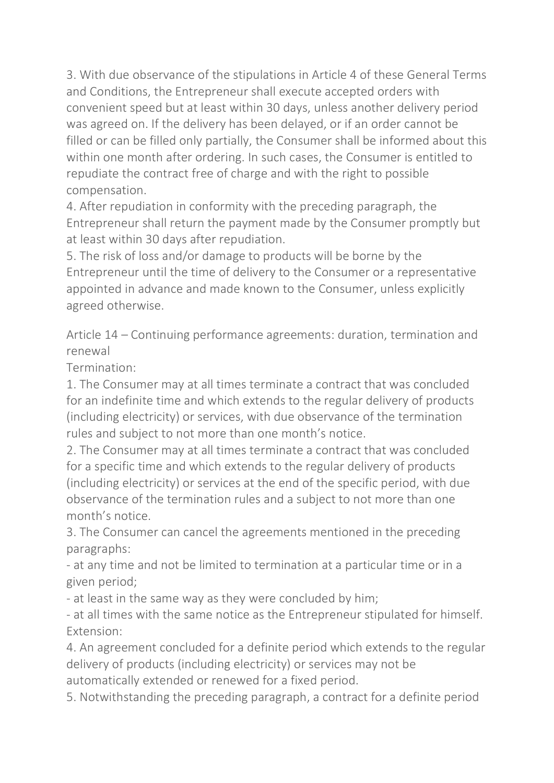3. With due observance of the stipulations in Article 4 of these General Terms and Conditions, the Entrepreneur shall execute accepted orders with convenient speed but at least within 30 days, unless another delivery period was agreed on. If the delivery has been delayed, or if an order cannot be filled or can be filled only partially, the Consumer shall be informed about this within one month after ordering. In such cases, the Consumer is entitled to repudiate the contract free of charge and with the right to possible compensation.

4. After repudiation in conformity with the preceding paragraph, the Entrepreneur shall return the payment made by the Consumer promptly but at least within 30 days after repudiation.

5. The risk of loss and/or damage to products will be borne by the Entrepreneur until the time of delivery to the Consumer or a representative appointed in advance and made known to the Consumer, unless explicitly agreed otherwise.

Article 14 – Continuing performance agreements: duration, termination and renewal

Termination:

1. The Consumer may at all times terminate a contract that was concluded for an indefinite time and which extends to the regular delivery of products (including electricity) or services, with due observance of the termination rules and subject to not more than one month's notice.

2. The Consumer may at all times terminate a contract that was concluded for a specific time and which extends to the regular delivery of products (including electricity) or services at the end of the specific period, with due observance of the termination rules and a subject to not more than one month's notice.

3. The Consumer can cancel the agreements mentioned in the preceding paragraphs:

- at any time and not be limited to termination at a particular time or in a given period;

- at least in the same way as they were concluded by him;

- at all times with the same notice as the Entrepreneur stipulated for himself. Extension:

4. An agreement concluded for a definite period which extends to the regular delivery of products (including electricity) or services may not be automatically extended or renewed for a fixed period.

5. Notwithstanding the preceding paragraph, a contract for a definite period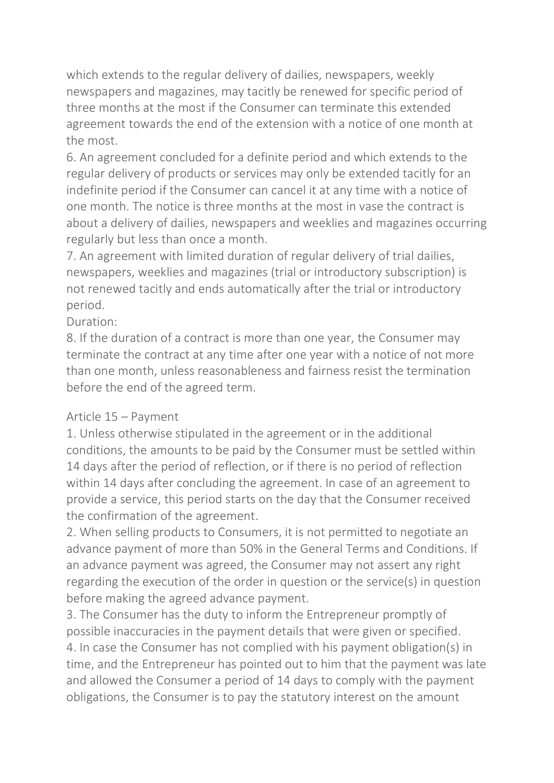which extends to the regular delivery of dailies, newspapers, weekly newspapers and magazines, may tacitly be renewed for specific period of three months at the most if the Consumer can terminate this extended agreement towards the end of the extension with a notice of one month at the most.

6. An agreement concluded for a definite period and which extends to the regular delivery of products or services may only be extended tacitly for an indefinite period if the Consumer can cancel it at any time with a notice of one month. The notice is three months at the most in vase the contract is about a delivery of dailies, newspapers and weeklies and magazines occurring regularly but less than once a month.

7. An agreement with limited duration of regular delivery of trial dailies, newspapers, weeklies and magazines (trial or introductory subscription) is not renewed tacitly and ends automatically after the trial or introductory period.

## Duration:

8. If the duration of a contract is more than one year, the Consumer may terminate the contract at any time after one year with a notice of not more than one month, unless reasonableness and fairness resist the termination before the end of the agreed term.

## Article 15 – Payment

1. Unless otherwise stipulated in the agreement or in the additional conditions, the amounts to be paid by the Consumer must be settled within 14 days after the period of reflection, or if there is no period of reflection within 14 days after concluding the agreement. In case of an agreement to provide a service, this period starts on the day that the Consumer received the confirmation of the agreement.

2. When selling products to Consumers, it is not permitted to negotiate an advance payment of more than 50% in the General Terms and Conditions. If an advance payment was agreed, the Consumer may not assert any right regarding the execution of the order in question or the service(s) in question before making the agreed advance payment.

3. The Consumer has the duty to inform the Entrepreneur promptly of possible inaccuracies in the payment details that were given or specified. 4. In case the Consumer has not complied with his payment obligation(s) in time, and the Entrepreneur has pointed out to him that the payment was late and allowed the Consumer a period of 14 days to comply with the payment obligations, the Consumer is to pay the statutory interest on the amount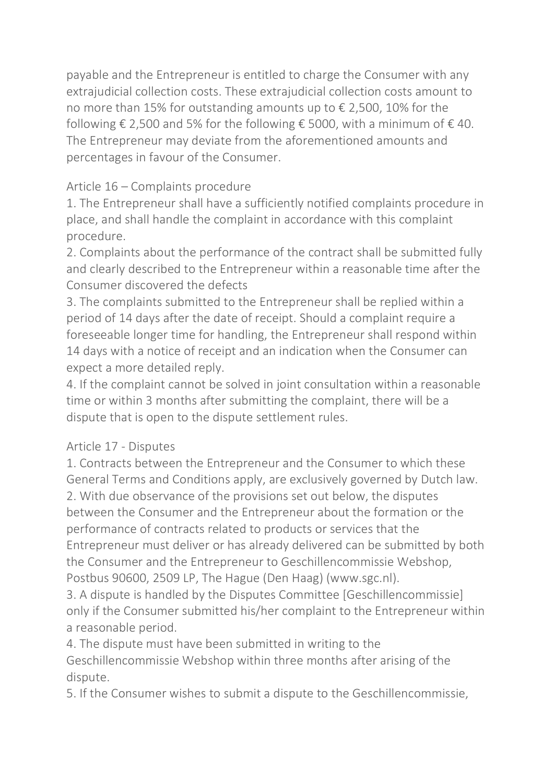payable and the Entrepreneur is entitled to charge the Consumer with any extrajudicial collection costs. These extrajudicial collection costs amount to no more than 15% for outstanding amounts up to € 2,500, 10% for the following  $\epsilon$  2,500 and 5% for the following  $\epsilon$  5000, with a minimum of  $\epsilon$  40. The Entrepreneur may deviate from the aforementioned amounts and percentages in favour of the Consumer.

# Article 16 – Complaints procedure

1. The Entrepreneur shall have a sufficiently notified complaints procedure in place, and shall handle the complaint in accordance with this complaint procedure.

2. Complaints about the performance of the contract shall be submitted fully and clearly described to the Entrepreneur within a reasonable time after the Consumer discovered the defects

3. The complaints submitted to the Entrepreneur shall be replied within a period of 14 days after the date of receipt. Should a complaint require a foreseeable longer time for handling, the Entrepreneur shall respond within 14 days with a notice of receipt and an indication when the Consumer can expect a more detailed reply.

4. If the complaint cannot be solved in joint consultation within a reasonable time or within 3 months after submitting the complaint, there will be a dispute that is open to the dispute settlement rules.

## Article 17 - Disputes

1. Contracts between the Entrepreneur and the Consumer to which these General Terms and Conditions apply, are exclusively governed by Dutch law. 2. With due observance of the provisions set out below, the disputes between the Consumer and the Entrepreneur about the formation or the performance of contracts related to products or services that the Entrepreneur must deliver or has already delivered can be submitted by both the Consumer and the Entrepreneur to Geschillencommissie Webshop, Postbus 90600, 2509 LP, The Hague (Den Haag) (www.sgc.nl).

3. A dispute is handled by the Disputes Committee [Geschillencommissie] only if the Consumer submitted his/her complaint to the Entrepreneur within a reasonable period.

4. The dispute must have been submitted in writing to the Geschillencommissie Webshop within three months after arising of the dispute.

5. If the Consumer wishes to submit a dispute to the Geschillencommissie,